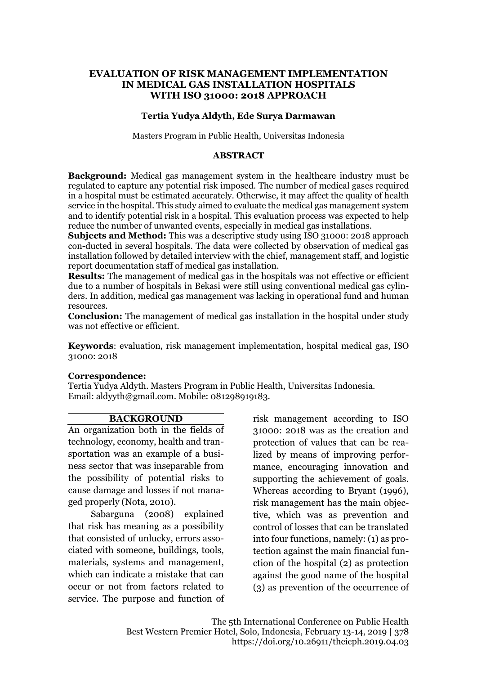## **EVALUATION OF RISK MANAGEMENT IMPLEMENTATION IN MEDICAL GAS INSTALLATION HOSPITALS WITH ISO 31000: 2018 APPROACH**

## **Tertia Yudya Aldyth, Ede Surya Darmawan**

Masters Program in Public Health, Universitas Indonesia

#### **ABSTRACT**

**Background:** Medical gas management system in the healthcare industry must be regulated to capture any potential risk imposed. The number of medical gases required in a hospital must be estimated accurately. Otherwise, it may affect the quality of health service in the hospital. This study aimed to evaluate the medical gas management system and to identify potential risk in a hospital. This evaluation process was expected to help reduce the number of unwanted events, especially in medical gas installations.

**Subjects and Method:** This was a descriptive study using ISO 31000: 2018 approach con-ducted in several hospitals. The data were collected by observation of medical gas installation followed by detailed interview with the chief, management staff, and logistic report documentation staff of medical gas installation.

**Results:** The management of medical gas in the hospitals was not effective or efficient due to a number of hospitals in Bekasi were still using conventional medical gas cylinders. In addition, medical gas management was lacking in operational fund and human resources.

**Conclusion:** The management of medical gas installation in the hospital under study was not effective or efficient.

**Keywords**: evaluation, risk management implementation, hospital medical gas, ISO 31000: 2018

### **Correspondence:**

Tertia Yudya Aldyth. Masters Program in Public Health, Universitas Indonesia. Email: aldyyth@gmail.com. Mobile: 081298919183.

#### **BACKGROUND**

An organization both in the fields of technology, economy, health and transportation was an example of a business sector that was inseparable from the possibility of potential risks to cause damage and losses if not managed properly (Nota, 2010).

Sabarguna (2008) explained that risk has meaning as a possibility that consisted of unlucky, errors associated with someone, buildings, tools, materials, systems and management, which can indicate a mistake that can occur or not from factors related to service. The purpose and function of risk management according to ISO 31000: 2018 was as the creation and protection of values that can be realized by means of improving performance, encouraging innovation and supporting the achievement of goals. Whereas according to Bryant (1996), risk management has the main objective, which was as prevention and control of losses that can be translated into four functions, namely: (1) as protection against the main financial function of the hospital (2) as protection against the good name of the hospital (3) as prevention of the occurrence of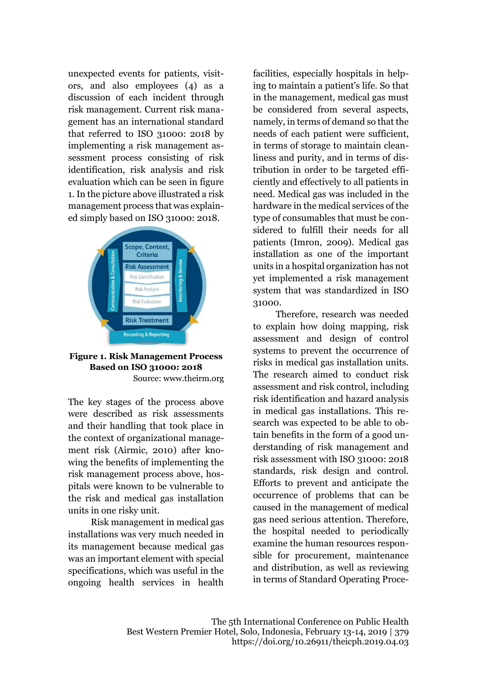unexpected events for patients, visitors, and also employees (4) as a discussion of each incident through risk management. Current risk management has an international standard that referred to ISO 31000: 2018 by implementing a risk management assessment process consisting of risk identification, risk analysis and risk evaluation which can be seen in figure 1. In the picture above illustrated a risk management process that was explained simply based on ISO 31000: 2018.



#### **Figure 1. Risk Management Process Based on ISO 31000: 2018** Source: www.theirm.org

The key stages of the process above were described as risk assessments and their handling that took place in the context of organizational management risk (Airmic, 2010) after knowing the benefits of implementing the risk management process above, hospitals were known to be vulnerable to the risk and medical gas installation units in one risky unit.

Risk management in medical gas installations was very much needed in its management because medical gas was an important element with special specifications, which was useful in the ongoing health services in health facilities, especially hospitals in helping to maintain a patient's life. So that in the management, medical gas must be considered from several aspects, namely, in terms of demand so that the needs of each patient were sufficient, in terms of storage to maintain cleanliness and purity, and in terms of distribution in order to be targeted efficiently and effectively to all patients in need. Medical gas was included in the hardware in the medical services of the type of consumables that must be considered to fulfill their needs for all patients (Imron, 2009). Medical gas installation as one of the important units in a hospital organization has not yet implemented a risk management system that was standardized in ISO 31000.

Therefore, research was needed to explain how doing mapping, risk assessment and design of control systems to prevent the occurrence of risks in medical gas installation units. The research aimed to conduct risk assessment and risk control, including risk identification and hazard analysis in medical gas installations. This research was expected to be able to obtain benefits in the form of a good understanding of risk management and risk assessment with ISO 31000: 2018 standards, risk design and control. Efforts to prevent and anticipate the occurrence of problems that can be caused in the management of medical gas need serious attention. Therefore, the hospital needed to periodically examine the human resources responsible for procurement, maintenance and distribution, as well as reviewing in terms of Standard Operating Proce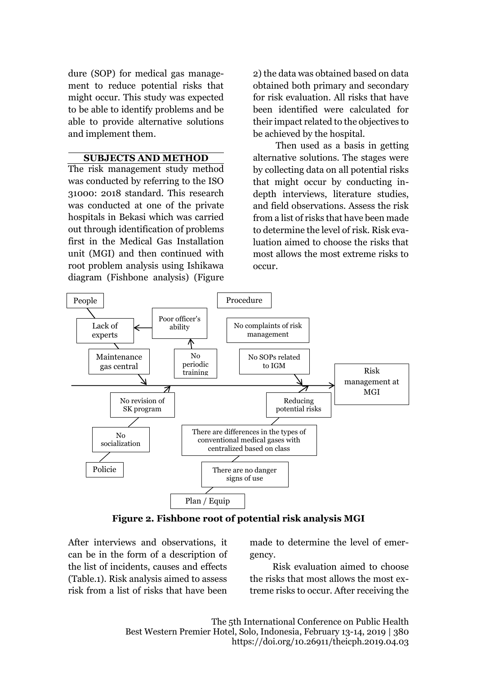dure (SOP) for medical gas management to reduce potential risks that might occur. This study was expected to be able to identify problems and be able to provide alternative solutions and implement them.

## **SUBJECTS AND METHOD**

The risk management study method was conducted by referring to the ISO 31000: 2018 standard. This research was conducted at one of the private hospitals in Bekasi which was carried out through identification of problems first in the Medical Gas Installation unit (MGI) and then continued with root problem analysis using Ishikawa diagram (Fishbone analysis) (Figure 2) the data was obtained based on data obtained both primary and secondary for risk evaluation. All risks that have been identified were calculated for their impact related to the objectives to be achieved by the hospital.

Then used as a basis in getting alternative solutions. The stages were by collecting data on all potential risks that might occur by conducting indepth interviews, literature studies, and field observations. Assess the risk from a list of risks that have been made to determine the level of risk. Risk evaluation aimed to choose the risks that most allows the most extreme risks to occur.



**Figure 2. Fishbone root of potential risk analysis MGI**

After interviews and observations, it can be in the form of a description of the list of incidents, causes and effects (Table.1). Risk analysis aimed to assess risk from a list of risks that have been made to determine the level of emergency.

Risk evaluation aimed to choose the risks that most allows the most extreme risks to occur. After receiving the

The 5th International Conference on Public Health Best Western Premier Hotel, Solo, Indonesia, February 13-14, 2019 | 380 https://doi.org/10.26911/theicph.2019.04.03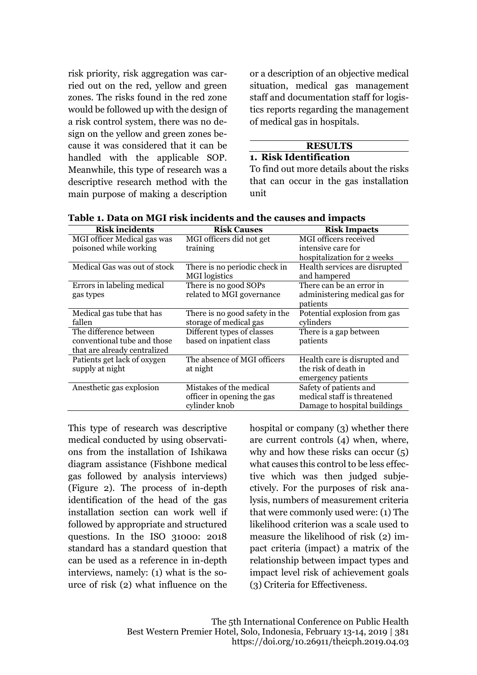risk priority, risk aggregation was carried out on the red, yellow and green zones. The risks found in the red zone would be followed up with the design of a risk control system, there was no design on the yellow and green zones because it was considered that it can be handled with the applicable SOP. Meanwhile, this type of research was a descriptive research method with the main purpose of making a description or a description of an objective medical situation, medical gas management staff and documentation staff for logistics reports regarding the management of medical gas in hospitals.

#### **RESULTS 1. Risk Identification**

To find out more details about the risks that can occur in the gas installation unit

| <b>Risk incidents</b>        | <b>Risk Causes</b>             | <b>Risk Impacts</b>           |  |
|------------------------------|--------------------------------|-------------------------------|--|
| MGI officer Medical gas was  | MGI officers did not get       | MGI officers received         |  |
| poisoned while working       | training                       | intensive care for            |  |
|                              |                                | hospitalization for 2 weeks   |  |
| Medical Gas was out of stock | There is no periodic check in  | Health services are disrupted |  |
|                              | <b>MGI</b> logistics           | and hampered                  |  |
| Errors in labeling medical   | There is no good SOPs          | There can be an error in      |  |
| gas types                    | related to MGI governance      | administering medical gas for |  |
|                              |                                | patients                      |  |
| Medical gas tube that has    | There is no good safety in the | Potential explosion from gas  |  |
| fallen                       | storage of medical gas         | cylinders                     |  |
| The difference between       | Different types of classes     | There is a gap between        |  |
| conventional tube and those  | based on inpatient class       | patients                      |  |
| that are already centralized |                                |                               |  |
| Patients get lack of oxygen  | The absence of MGI officers    | Health care is disrupted and  |  |
| supply at night              | at night                       | the risk of death in          |  |
|                              |                                | emergency patients            |  |
| Anesthetic gas explosion     | Mistakes of the medical        | Safety of patients and        |  |
|                              | officer in opening the gas     | medical staff is threatened   |  |
|                              | cylinder knob                  | Damage to hospital buildings  |  |

**Table 1. Data on MGI risk incidents and the causes and impacts**

This type of research was descriptive medical conducted by using observations from the installation of Ishikawa diagram assistance (Fishbone medical gas followed by analysis interviews) (Figure 2). The process of in-depth identification of the head of the gas installation section can work well if followed by appropriate and structured questions. In the ISO 31000: 2018 standard has a standard question that can be used as a reference in in-depth interviews, namely: (1) what is the source of risk (2) what influence on the hospital or company (3) whether there are current controls (4) when, where, why and how these risks can occur (5) what causes this control to be less effective which was then judged subjectively. For the purposes of risk analysis, numbers of measurement criteria that were commonly used were: (1) The likelihood criterion was a scale used to measure the likelihood of risk (2) impact criteria (impact) a matrix of the relationship between impact types and impact level risk of achievement goals (3) Criteria for Effectiveness.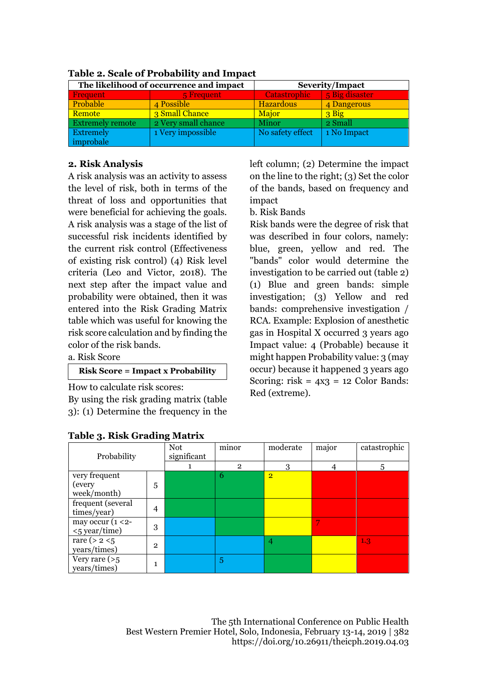| The likelihood of occurrence and impact |                     | <b>Severity/Impact</b> |                |  |  |  |
|-----------------------------------------|---------------------|------------------------|----------------|--|--|--|
| <b>Frequent</b>                         | 5 Frequent          | <b>Catastrophic</b>    | 5 Big disaster |  |  |  |
| Probable                                | 4 Possible          | <b>Hazardous</b>       | 4 Dangerous    |  |  |  |
| <b>Remote</b>                           | 3 Small Chance      | Major                  | 3 Big          |  |  |  |
| <b>Extremely remote</b>                 | 2 Very small chance | Minor                  | 2 Small        |  |  |  |
| <b>Extremely</b>                        | 1 Very impossible   | No safety effect       | 1 No Impact    |  |  |  |
| improbale                               |                     |                        |                |  |  |  |

**Table 2. Scale of Probability and Impact**

## **2. Risk Analysis**

A risk analysis was an activity to assess the level of risk, both in terms of the threat of loss and opportunities that were beneficial for achieving the goals. A risk analysis was a stage of the list of successful risk incidents identified by the current risk control (Effectiveness of existing risk control) (4) Risk level criteria (Leo and Victor, 2018). The next step after the impact value and probability were obtained, then it was entered into the Risk Grading Matrix table which was useful for knowing the risk score calculation and by finding the color of the risk bands.

a. Risk Score

## **Risk Score = Impact x Probability**

How to calculate risk scores:

By using the risk grading matrix (table 3): (1) Determine the frequency in the

|  | <b>Table 3. Risk Grading Matrix</b> |  |
|--|-------------------------------------|--|
|  |                                     |  |

left column; (2) Determine the impact on the line to the right; (3) Set the color of the bands, based on frequency and impact

## b. Risk Bands

Risk bands were the degree of risk that was described in four colors, namely: blue, green, yellow and red. The "bands" color would determine the investigation to be carried out (table 2) (1) Blue and green bands: simple investigation; (3) Yellow and red bands: comprehensive investigation / RCA. Example: Explosion of anesthetic gas in Hospital X occurred 3 years ago Impact value: 4 (Probable) because it might happen Probability value: 3 (may occur) because it happened 3 years ago Scoring: risk =  $4x3 = 12$  Color Bands: Red (extreme).

| rapic 3. Kisk Oraunig matrix |              |             |                |                |       |              |
|------------------------------|--------------|-------------|----------------|----------------|-------|--------------|
|                              |              | <b>Not</b>  | minor          | moderate       | major | catastrophic |
| Probability                  |              | significant |                |                |       |              |
|                              |              |             | $\overline{2}$ | 3              |       | 5            |
| very frequent                |              |             | 6              | $\overline{2}$ |       |              |
| (every                       | 5            |             |                |                |       |              |
| week/month)                  |              |             |                |                |       |              |
| frequent (several            |              |             |                |                |       |              |
| times/year)                  | 4            |             |                |                |       |              |
| may occur ( $1 < 2$ -        |              |             |                |                |       |              |
| <5 year/time)                | 3            |             |                |                |       |              |
| rare ( $> 2 < 5$ )           | $\mathbf{2}$ |             |                | 4              |       | 1.3          |
| years/times)                 |              |             |                |                |       |              |
| Very rare $(>5$              |              |             | 5              |                |       |              |
| years/times)                 | 1            |             |                |                |       |              |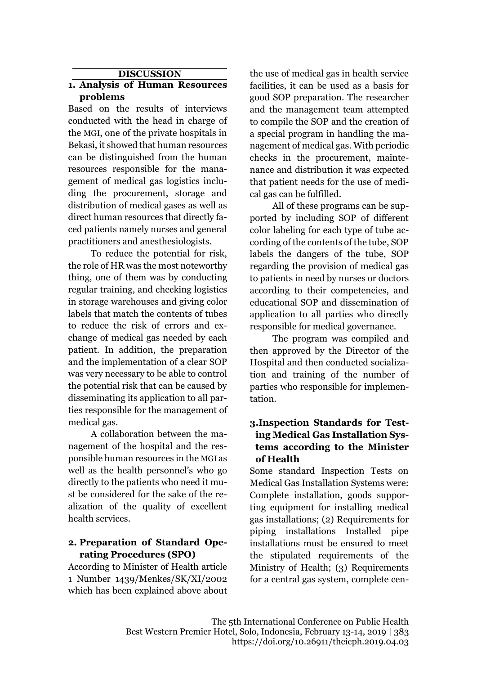## **DISCUSSION**

# **1. Analysis of Human Resources problems**

Based on the results of interviews conducted with the head in charge of the MGI, one of the private hospitals in Bekasi, it showed that human resources can be distinguished from the human resources responsible for the management of medical gas logistics including the procurement, storage and distribution of medical gases as well as direct human resources that directly faced patients namely nurses and general practitioners and anesthesiologists.

To reduce the potential for risk, the role of HR was the most noteworthy thing, one of them was by conducting regular training, and checking logistics in storage warehouses and giving color labels that match the contents of tubes to reduce the risk of errors and exchange of medical gas needed by each patient. In addition, the preparation and the implementation of a clear SOP was very necessary to be able to control the potential risk that can be caused by disseminating its application to all parties responsible for the management of medical gas.

A collaboration between the management of the hospital and the responsible human resources in the MGI as well as the health personnel's who go directly to the patients who need it must be considered for the sake of the realization of the quality of excellent health services.

## **2. Preparation of Standard Operating Procedures (SPO)**

According to Minister of Health article 1 Number 1439/Menkes/SK/XI/2002 which has been explained above about the use of medical gas in health service facilities, it can be used as a basis for good SOP preparation. The researcher and the management team attempted to compile the SOP and the creation of a special program in handling the management of medical gas. With periodic checks in the procurement, maintenance and distribution it was expected that patient needs for the use of medical gas can be fulfilled.

All of these programs can be supported by including SOP of different color labeling for each type of tube according of the contents of the tube, SOP labels the dangers of the tube, SOP regarding the provision of medical gas to patients in need by nurses or doctors according to their competencies, and educational SOP and dissemination of application to all parties who directly responsible for medical governance.

The program was compiled and then approved by the Director of the Hospital and then conducted socialization and training of the number of parties who responsible for implementation.

# **3.Inspection Standards for Testing Medical Gas Installation Systems according to the Minister of Health**

Some standard Inspection Tests on Medical Gas Installation Systems were: Complete installation, goods supporting equipment for installing medical gas installations; (2) Requirements for piping installations Installed pipe installations must be ensured to meet the stipulated requirements of the Ministry of Health; (3) Requirements for a central gas system, complete cen